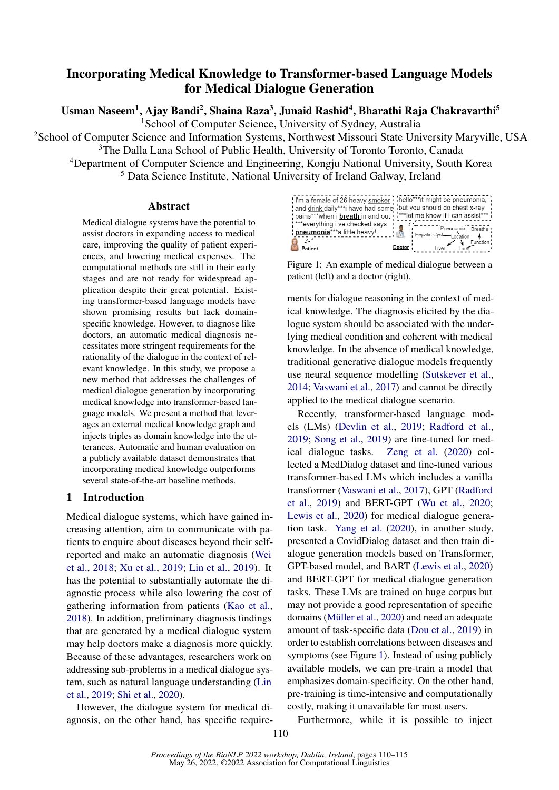# Incorporating Medical Knowledge to Transformer-based Language Models for Medical Dialogue Generation

Usman Naseem<sup>1</sup>, Ajay Bandi<sup>2</sup>, Shaina Raza<sup>3</sup>, Junaid Rashid<sup>4</sup>, Bharathi Raja Chakravarthi<sup>5</sup>

<sup>1</sup>School of Computer Science, University of Sydney, Australia

<sup>2</sup>School of Computer Science and Information Systems, Northwest Missouri State University Maryville, USA

<sup>3</sup>The Dalla Lana School of Public Health, University of Toronto Toronto, Canada

<sup>4</sup>Department of Computer Science and Engineering, Kongju National University, South Korea

<sup>5</sup> Data Science Institute, National University of Ireland Galway, Ireland

#### Abstract

Medical dialogue systems have the potential to assist doctors in expanding access to medical care, improving the quality of patient experiences, and lowering medical expenses. The computational methods are still in their early stages and are not ready for widespread application despite their great potential. Existing transformer-based language models have shown promising results but lack domainspecific knowledge. However, to diagnose like doctors, an automatic medical diagnosis necessitates more stringent requirements for the rationality of the dialogue in the context of relevant knowledge. In this study, we propose a new method that addresses the challenges of medical dialogue generation by incorporating medical knowledge into transformer-based language models. We present a method that leverages an external medical knowledge graph and injects triples as domain knowledge into the utterances. Automatic and human evaluation on a publicly available dataset demonstrates that incorporating medical knowledge outperforms several state-of-the-art baseline methods.

# 1 Introduction

Medical dialogue systems, which have gained increasing attention, aim to communicate with patients to enquire about diseases beyond their selfreported and make an automatic diagnosis [\(Wei](#page-4-0) [et al.,](#page-4-0) [2018;](#page-4-0) [Xu et al.,](#page-5-0) [2019;](#page-5-0) [Lin et al.,](#page-4-1) [2019\)](#page-4-1). It has the potential to substantially automate the diagnostic process while also lowering the cost of gathering information from patients [\(Kao et al.,](#page-4-2) [2018\)](#page-4-2). In addition, preliminary diagnosis findings that are generated by a medical dialogue system may help doctors make a diagnosis more quickly. Because of these advantages, researchers work on addressing sub-problems in a medical dialogue system, such as natural language understanding [\(Lin](#page-4-1) [et al.,](#page-4-1) [2019;](#page-4-1) [Shi et al.,](#page-4-3) [2020\)](#page-4-3).

However, the dialogue system for medical diagnosis, on the other hand, has specific require-

<span id="page-0-0"></span>

Figure 1: An example of medical dialogue between a patient (left) and a doctor (right).

ments for dialogue reasoning in the context of medical knowledge. The diagnosis elicited by the dialogue system should be associated with the underlying medical condition and coherent with medical knowledge. In the absence of medical knowledge, traditional generative dialogue models frequently use neural sequence modelling [\(Sutskever et al.,](#page-4-4) [2014;](#page-4-4) [Vaswani et al.,](#page-4-5) [2017\)](#page-4-5) and cannot be directly applied to the medical dialogue scenario.

Recently, transformer-based language models (LMs) [\(Devlin et al.,](#page-4-6) [2019;](#page-4-6) [Radford et al.,](#page-4-7) [2019;](#page-4-7) [Song et al.,](#page-4-8) [2019\)](#page-4-8) are fine-tuned for medical dialogue tasks. [Zeng et al.](#page-5-1) [\(2020\)](#page-5-1) collected a MedDialog dataset and fine-tuned various transformer-based LMs which includes a vanilla transformer [\(Vaswani et al.,](#page-4-5) [2017\)](#page-4-5), GPT [\(Radford](#page-4-7) [et al.,](#page-4-7) [2019\)](#page-4-7) and BERT-GPT [\(Wu et al.,](#page-4-9) [2020;](#page-4-9) [Lewis et al.,](#page-4-10) [2020\)](#page-4-10) for medical dialogue generation task. [Yang et al.](#page-5-2) [\(2020\)](#page-5-2), in another study, presented a CovidDialog dataset and then train dialogue generation models based on Transformer, GPT-based model, and BART [\(Lewis et al.,](#page-4-10) [2020\)](#page-4-10) and BERT-GPT for medical dialogue generation tasks. These LMs are trained on huge corpus but may not provide a good representation of specific domains [\(Müller et al.,](#page-4-11) [2020\)](#page-4-11) and need an adequate amount of task-specific data [\(Dou et al.,](#page-4-12) [2019\)](#page-4-12) in order to establish correlations between diseases and symptoms (see Figure [1\)](#page-0-0). Instead of using publicly available models, we can pre-train a model that emphasizes domain-specificity. On the other hand, pre-training is time-intensive and computationally costly, making it unavailable for most users.

Furthermore, while it is possible to inject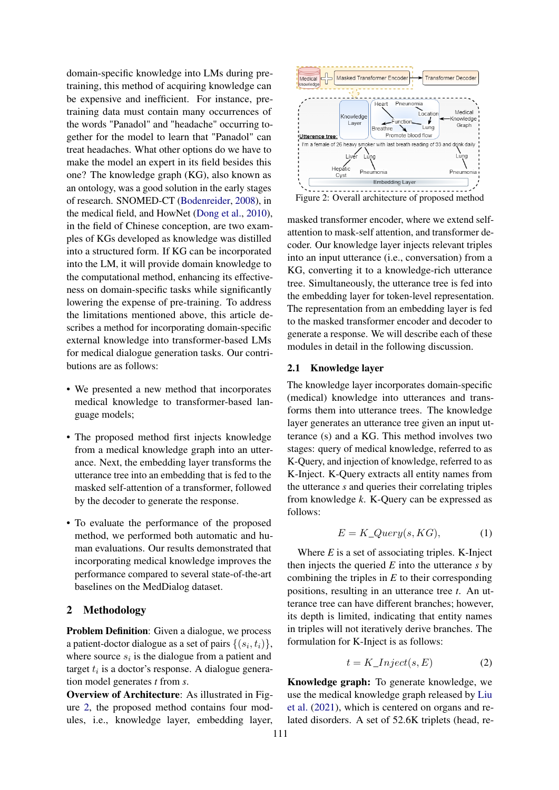domain-specific knowledge into LMs during pretraining, this method of acquiring knowledge can be expensive and inefficient. For instance, pretraining data must contain many occurrences of the words "Panadol" and "headache" occurring together for the model to learn that "Panadol" can treat headaches. What other options do we have to make the model an expert in its field besides this one? The knowledge graph (KG), also known as an ontology, was a good solution in the early stages of research. SNOMED-CT [\(Bodenreider,](#page-4-13) [2008\)](#page-4-13), in the medical field, and HowNet [\(Dong et al.,](#page-4-14) [2010\)](#page-4-14), in the field of Chinese conception, are two examples of KGs developed as knowledge was distilled into a structured form. If KG can be incorporated into the LM, it will provide domain knowledge to the computational method, enhancing its effectiveness on domain-specific tasks while significantly lowering the expense of pre-training. To address the limitations mentioned above, this article describes a method for incorporating domain-specific external knowledge into transformer-based LMs for medical dialogue generation tasks. Our contributions are as follows:

- We presented a new method that incorporates medical knowledge to transformer-based language models;
- The proposed method first injects knowledge from a medical knowledge graph into an utterance. Next, the embedding layer transforms the utterance tree into an embedding that is fed to the masked self-attention of a transformer, followed by the decoder to generate the response.
- To evaluate the performance of the proposed method, we performed both automatic and human evaluations. Our results demonstrated that incorporating medical knowledge improves the performance compared to several state-of-the-art baselines on the MedDialog dataset.

# 2 Methodology

Problem Definition: Given a dialogue, we process a patient-doctor dialogue as a set of pairs  $\{(s_i, t_i)\},$ where source  $s_i$  is the dialogue from a patient and target  $t_i$  is a doctor's response. A dialogue generation model generates *t* from *s*.

Overview of Architecture: As illustrated in Figure [2,](#page-1-0) the proposed method contains four modules, i.e., knowledge layer, embedding layer,

<span id="page-1-0"></span>

masked transformer encoder, where we extend selfattention to mask-self attention, and transformer decoder. Our knowledge layer injects relevant triples into an input utterance (i.e., conversation) from a KG, converting it to a knowledge-rich utterance tree. Simultaneously, the utterance tree is fed into the embedding layer for token-level representation. The representation from an embedding layer is fed to the masked transformer encoder and decoder to generate a response. We will describe each of these modules in detail in the following discussion.

#### 2.1 Knowledge layer

The knowledge layer incorporates domain-specific (medical) knowledge into utterances and transforms them into utterance trees. The knowledge layer generates an utterance tree given an input utterance (s) and a KG. This method involves two stages: query of medical knowledge, referred to as K-Query, and injection of knowledge, referred to as K-Inject. K-Query extracts all entity names from the utterance *s* and queries their correlating triples from knowledge *k*. K-Query can be expressed as follows:

$$
E = K\_Query(s, KG), \tag{1}
$$

Where *E* is a set of associating triples. K-Inject then injects the queried *E* into the utterance *s* by combining the triples in *E* to their corresponding positions, resulting in an utterance tree *t*. An utterance tree can have different branches; however, its depth is limited, indicating that entity names in triples will not iteratively derive branches. The formulation for K-Inject is as follows:

$$
t = K\_Inject(s, E) \tag{2}
$$

Knowledge graph: To generate knowledge, we use the medical knowledge graph released by [Liu](#page-4-15) [et al.](#page-4-15) [\(2021\)](#page-4-15), which is centered on organs and related disorders. A set of 52.6K triplets (head, re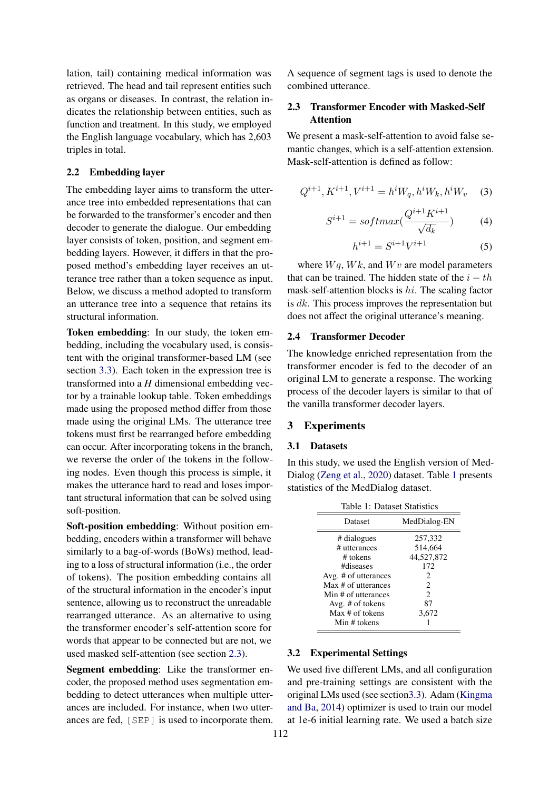lation, tail) containing medical information was retrieved. The head and tail represent entities such as organs or diseases. In contrast, the relation indicates the relationship between entities, such as function and treatment. In this study, we employed the English language vocabulary, which has 2,603 triples in total.

#### 2.2 Embedding layer

The embedding layer aims to transform the utterance tree into embedded representations that can be forwarded to the transformer's encoder and then decoder to generate the dialogue. Our embedding layer consists of token, position, and segment embedding layers. However, it differs in that the proposed method's embedding layer receives an utterance tree rather than a token sequence as input. Below, we discuss a method adopted to transform an utterance tree into a sequence that retains its structural information.

Token embedding: In our study, the token embedding, including the vocabulary used, is consistent with the original transformer-based LM (see section [3.3\)](#page-3-0). Each token in the expression tree is transformed into a *H* dimensional embedding vector by a trainable lookup table. Token embeddings made using the proposed method differ from those made using the original LMs. The utterance tree tokens must first be rearranged before embedding can occur. After incorporating tokens in the branch, we reverse the order of the tokens in the following nodes. Even though this process is simple, it makes the utterance hard to read and loses important structural information that can be solved using soft-position.

Soft-position embedding: Without position embedding, encoders within a transformer will behave similarly to a bag-of-words (BoWs) method, leading to a loss of structural information (i.e., the order of tokens). The position embedding contains all of the structural information in the encoder's input sentence, allowing us to reconstruct the unreadable rearranged utterance. As an alternative to using the transformer encoder's self-attention score for words that appear to be connected but are not, we used masked self-attention (see section [2.3\)](#page-2-0).

Segment embedding: Like the transformer encoder, the proposed method uses segmentation embedding to detect utterances when multiple utterances are included. For instance, when two utterances are fed, [SEP] is used to incorporate them. A sequence of segment tags is used to denote the combined utterance.

# <span id="page-2-0"></span>2.3 Transformer Encoder with Masked-Self Attention

We present a mask-self-attention to avoid false semantic changes, which is a self-attention extension. Mask-self-attention is defined as follow:

$$
Q^{i+1}, K^{i+1}, V^{i+1} = h^i W_q, h^i W_k, h^i W_v \quad (3)
$$

$$
S^{i+1} = softmax(\frac{Q^{i+1}K^{i+1}}{\sqrt{d_k}})
$$
 (4)

$$
h^{i+1} = S^{i+1}V^{i+1} \tag{5}
$$

where  $Wq$ ,  $Wk$ , and  $Wv$  are model parameters that can be trained. The hidden state of the  $i - th$ mask-self-attention blocks is hi. The scaling factor is dk. This process improves the representation but does not affect the original utterance's meaning.

## 2.4 Transformer Decoder

The knowledge enriched representation from the transformer encoder is fed to the decoder of an original LM to generate a response. The working process of the decoder layers is similar to that of the vanilla transformer decoder layers.

# 3 Experiments

## 3.1 Datasets

In this study, we used the English version of Med-Dialog [\(Zeng et al.,](#page-5-1) [2020\)](#page-5-1) dataset. Table [1](#page-2-1) presents statistics of the MedDialog dataset.

<span id="page-2-1"></span>

| Table 1: Dataset Statistics |                             |  |  |  |
|-----------------------------|-----------------------------|--|--|--|
| Dataset                     | MedDialog-EN                |  |  |  |
| # dialogues                 | 257,332                     |  |  |  |
| # utterances                | 514,664                     |  |  |  |
| # tokens                    | 44,527,872                  |  |  |  |
| #diseases                   | 172                         |  |  |  |
| Avg. # of utterances        | 2                           |  |  |  |
| Max # of utterances         | $\mathcal{D}_{\mathcal{L}}$ |  |  |  |
| Min # of utterances         | $\mathcal{D}_{\mathcal{L}}$ |  |  |  |
| Avg. # of tokens            | 87                          |  |  |  |
| Max # of tokens             | 3,672                       |  |  |  |
| Min # tokens                |                             |  |  |  |

# 3.2 Experimental Settings

We used five different LMs, and all configuration and pre-training settings are consistent with the original LMs used (see sectio[n3.3\)](#page-3-0). Adam [\(Kingma](#page-4-16) [and Ba,](#page-4-16) [2014\)](#page-4-16) optimizer is used to train our model at 1e-6 initial learning rate. We used a batch size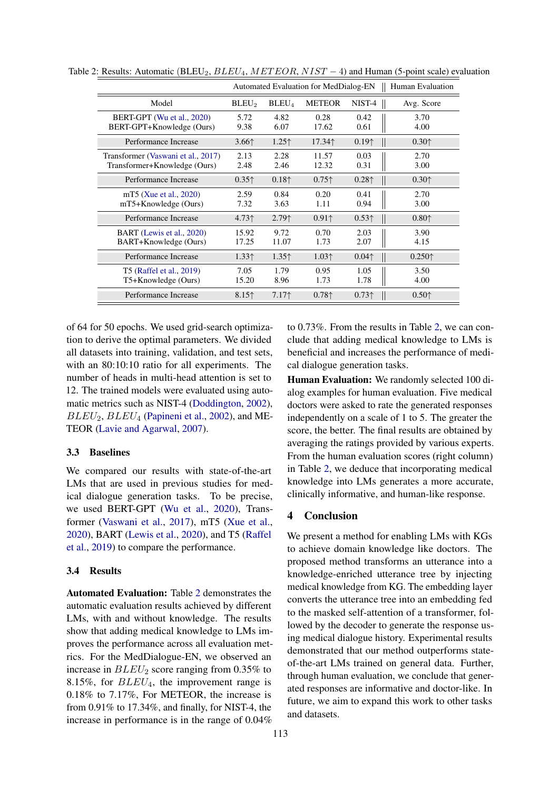|                                                                    | Automated Evaluation for MedDialog-EN  |                   |                                        |                                        | Human Evaluation                       |
|--------------------------------------------------------------------|----------------------------------------|-------------------|----------------------------------------|----------------------------------------|----------------------------------------|
| Model                                                              | BLEU <sub>2</sub>                      | $BLEU_4$          | <b>METEOR</b>                          | NIST-4                                 | Avg. Score                             |
| BERT-GPT (Wu et al., 2020)<br>BERT-GPT+Knowledge (Ours)            | 5.72<br>9.38                           | 4.82<br>6.07      | 0.28<br>17.62                          | 0.42<br>0.61                           | 3.70<br>4.00                           |
| Performance Increase                                               | $3.66$ ↑                               | 1.25 <sup>†</sup> | 17.34↑                                 | 0.19 <sup>†</sup>                      | 0.30 <sub>0</sub>                      |
| Transformer (Vaswani et al., 2017)<br>Transformer+Knowledge (Ours) | 2.13<br>2.48                           | 2.28<br>2.46      | 11.57<br>12.32                         | 0.03<br>0.31                           | 2.70<br>3.00                           |
| Performance Increase                                               | 0.35 <sup>†</sup>                      | $0.18+$           | $0.75$ <sup><math>\dagger</math></sup> | 0.28 <sup>†</sup>                      | 0.30 <sub>0</sub>                      |
| mT5 (Xue et al., 2020)<br>mT5+Knowledge (Ours)                     | 2.59<br>7.32                           | 0.84<br>3.63      | 0.20<br>1.11                           | 0.41<br>0.94                           | 2.70<br>3.00                           |
| Performance Increase                                               | $4.73$ <sup><math>\dagger</math></sup> | $2.79+$           | $0.91$ <sup><math>\dagger</math></sup> | 0.53 <sup>†</sup>                      | $0.80$ <sup><math>\dagger</math></sup> |
| BART (Lewis et al., 2020)<br>BART+Knowledge (Ours)                 | 15.92<br>17.25                         | 9.72<br>11.07     | 0.70<br>1.73                           | 2.03<br>2.07                           | 3.90<br>4.15                           |
| Performance Increase                                               | 1.33 <sup>†</sup>                      | $1.35+$           | 1.03 <sup>†</sup>                      | $0.04$ <sup><math>\dagger</math></sup> | 0.250 <sup>†</sup>                     |
| T5 (Raffel et al., 2019)<br>T5+Knowledge (Ours)                    | 7.05<br>15.20                          | 1.79<br>8.96      | 0.95<br>1.73                           | 1.05<br>1.78                           | 3.50<br>4.00                           |
| Performance Increase                                               | $8.15+$                                | $7.17+$           | $0.78+$                                | 0.73 <sup>†</sup>                      | 0.50 <sub>0</sub>                      |

<span id="page-3-1"></span>Table 2: Results: Automatic (BLEU<sub>2</sub>,  $BLEU_4$ ,  $METEOR$ ,  $NIST-4$ ) and Human (5-point scale) evaluation

of 64 for 50 epochs. We used grid-search optimization to derive the optimal parameters. We divided all datasets into training, validation, and test sets, with an 80:10:10 ratio for all experiments. The number of heads in multi-head attention is set to 12. The trained models were evaluated using automatic metrics such as NIST-4 [\(Doddington,](#page-4-18) [2002\)](#page-4-18),  $BLEU_2, BLEU_4$  [\(Papineni et al.,](#page-4-19) [2002\)](#page-4-19), and ME-TEOR [\(Lavie and Agarwal,](#page-4-20) [2007\)](#page-4-20).

#### <span id="page-3-0"></span>3.3 Baselines

We compared our results with state-of-the-art LMs that are used in previous studies for medical dialogue generation tasks. To be precise, we used BERT-GPT [\(Wu et al.,](#page-4-9) [2020\)](#page-4-9), Transformer [\(Vaswani et al.,](#page-4-5) [2017\)](#page-4-5), mT5 [\(Xue et al.,](#page-5-3) [2020\)](#page-5-3), BART [\(Lewis et al.,](#page-4-10) [2020\)](#page-4-10), and T5 [\(Raffel](#page-4-17) [et al.,](#page-4-17) [2019\)](#page-4-17) to compare the performance.

## 3.4 Results

Automated Evaluation: Table [2](#page-3-1) demonstrates the automatic evaluation results achieved by different LMs, with and without knowledge. The results show that adding medical knowledge to LMs improves the performance across all evaluation metrics. For the MedDialogue-EN, we observed an increase in  $BLEU_2$  score ranging from 0.35% to 8.15%, for  $BLEU_4$ , the improvement range is 0.18% to 7.17%, For METEOR, the increase is from 0.91% to 17.34%, and finally, for NIST-4, the increase in performance is in the range of 0.04%

to 0.73%. From the results in Table [2,](#page-3-1) we can conclude that adding medical knowledge to LMs is beneficial and increases the performance of medical dialogue generation tasks.

Human Evaluation: We randomly selected 100 dialog examples for human evaluation. Five medical doctors were asked to rate the generated responses independently on a scale of 1 to 5. The greater the score, the better. The final results are obtained by averaging the ratings provided by various experts. From the human evaluation scores (right column) in Table [2,](#page-3-1) we deduce that incorporating medical knowledge into LMs generates a more accurate, clinically informative, and human-like response.

### 4 Conclusion

We present a method for enabling LMs with KGs to achieve domain knowledge like doctors. The proposed method transforms an utterance into a knowledge-enriched utterance tree by injecting medical knowledge from KG. The embedding layer converts the utterance tree into an embedding fed to the masked self-attention of a transformer, followed by the decoder to generate the response using medical dialogue history. Experimental results demonstrated that our method outperforms stateof-the-art LMs trained on general data. Further, through human evaluation, we conclude that generated responses are informative and doctor-like. In future, we aim to expand this work to other tasks and datasets.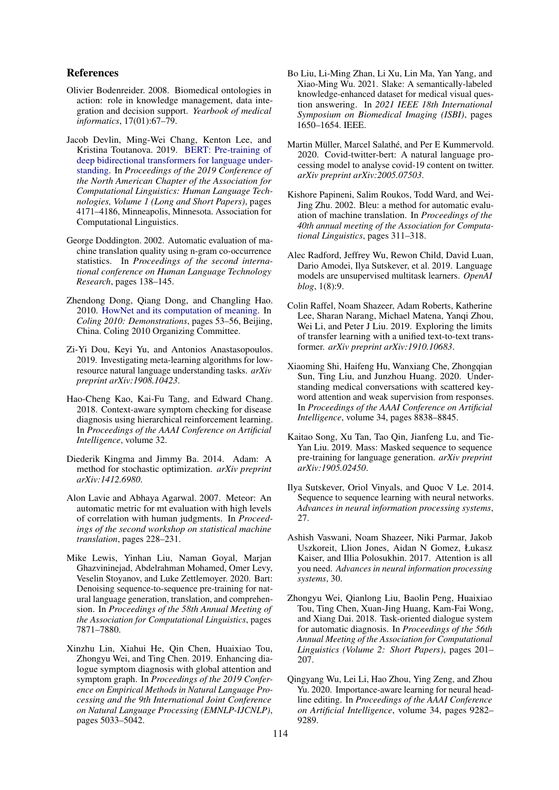## References

- <span id="page-4-13"></span>Olivier Bodenreider. 2008. Biomedical ontologies in action: role in knowledge management, data integration and decision support. *Yearbook of medical informatics*, 17(01):67–79.
- <span id="page-4-6"></span>Jacob Devlin, Ming-Wei Chang, Kenton Lee, and Kristina Toutanova. 2019. [BERT: Pre-training of](https://doi.org/10.18653/v1/N19-1423) [deep bidirectional transformers for language under](https://doi.org/10.18653/v1/N19-1423)[standing.](https://doi.org/10.18653/v1/N19-1423) In *Proceedings of the 2019 Conference of the North American Chapter of the Association for Computational Linguistics: Human Language Technologies, Volume 1 (Long and Short Papers)*, pages 4171–4186, Minneapolis, Minnesota. Association for Computational Linguistics.
- <span id="page-4-18"></span>George Doddington. 2002. Automatic evaluation of machine translation quality using n-gram co-occurrence statistics. In *Proceedings of the second international conference on Human Language Technology Research*, pages 138–145.
- <span id="page-4-14"></span>Zhendong Dong, Qiang Dong, and Changling Hao. 2010. [HowNet and its computation of meaning.](https://aclanthology.org/C10-3014) In *Coling 2010: Demonstrations*, pages 53–56, Beijing, China. Coling 2010 Organizing Committee.
- <span id="page-4-12"></span>Zi-Yi Dou, Keyi Yu, and Antonios Anastasopoulos. 2019. Investigating meta-learning algorithms for lowresource natural language understanding tasks. *arXiv preprint arXiv:1908.10423*.
- <span id="page-4-2"></span>Hao-Cheng Kao, Kai-Fu Tang, and Edward Chang. 2018. Context-aware symptom checking for disease diagnosis using hierarchical reinforcement learning. In *Proceedings of the AAAI Conference on Artificial Intelligence*, volume 32.
- <span id="page-4-16"></span>Diederik Kingma and Jimmy Ba. 2014. Adam: A method for stochastic optimization. *arXiv preprint arXiv:1412.6980*.
- <span id="page-4-20"></span>Alon Lavie and Abhaya Agarwal. 2007. Meteor: An automatic metric for mt evaluation with high levels of correlation with human judgments. In *Proceedings of the second workshop on statistical machine translation*, pages 228–231.
- <span id="page-4-10"></span>Mike Lewis, Yinhan Liu, Naman Goyal, Marjan Ghazvininejad, Abdelrahman Mohamed, Omer Levy, Veselin Stoyanov, and Luke Zettlemoyer. 2020. Bart: Denoising sequence-to-sequence pre-training for natural language generation, translation, and comprehension. In *Proceedings of the 58th Annual Meeting of the Association for Computational Linguistics*, pages 7871–7880.
- <span id="page-4-1"></span>Xinzhu Lin, Xiahui He, Qin Chen, Huaixiao Tou, Zhongyu Wei, and Ting Chen. 2019. Enhancing dialogue symptom diagnosis with global attention and symptom graph. In *Proceedings of the 2019 Conference on Empirical Methods in Natural Language Processing and the 9th International Joint Conference on Natural Language Processing (EMNLP-IJCNLP)*, pages 5033–5042.
- <span id="page-4-15"></span>Bo Liu, Li-Ming Zhan, Li Xu, Lin Ma, Yan Yang, and Xiao-Ming Wu. 2021. Slake: A semantically-labeled knowledge-enhanced dataset for medical visual question answering. In *2021 IEEE 18th International Symposium on Biomedical Imaging (ISBI)*, pages 1650–1654. IEEE.
- <span id="page-4-11"></span>Martin Müller, Marcel Salathé, and Per E Kummervold. 2020. Covid-twitter-bert: A natural language processing model to analyse covid-19 content on twitter. *arXiv preprint arXiv:2005.07503*.
- <span id="page-4-19"></span>Kishore Papineni, Salim Roukos, Todd Ward, and Wei-Jing Zhu. 2002. Bleu: a method for automatic evaluation of machine translation. In *Proceedings of the 40th annual meeting of the Association for Computational Linguistics*, pages 311–318.
- <span id="page-4-7"></span>Alec Radford, Jeffrey Wu, Rewon Child, David Luan, Dario Amodei, Ilya Sutskever, et al. 2019. Language models are unsupervised multitask learners. *OpenAI blog*, 1(8):9.
- <span id="page-4-17"></span>Colin Raffel, Noam Shazeer, Adam Roberts, Katherine Lee, Sharan Narang, Michael Matena, Yanqi Zhou, Wei Li, and Peter J Liu. 2019. Exploring the limits of transfer learning with a unified text-to-text transformer. *arXiv preprint arXiv:1910.10683*.
- <span id="page-4-3"></span>Xiaoming Shi, Haifeng Hu, Wanxiang Che, Zhongqian Sun, Ting Liu, and Junzhou Huang. 2020. Understanding medical conversations with scattered keyword attention and weak supervision from responses. In *Proceedings of the AAAI Conference on Artificial Intelligence*, volume 34, pages 8838–8845.
- <span id="page-4-8"></span>Kaitao Song, Xu Tan, Tao Qin, Jianfeng Lu, and Tie-Yan Liu. 2019. Mass: Masked sequence to sequence pre-training for language generation. *arXiv preprint arXiv:1905.02450*.
- <span id="page-4-4"></span>Ilya Sutskever, Oriol Vinyals, and Quoc V Le. 2014. Sequence to sequence learning with neural networks. *Advances in neural information processing systems*, 27.
- <span id="page-4-5"></span>Ashish Vaswani, Noam Shazeer, Niki Parmar, Jakob Uszkoreit, Llion Jones, Aidan N Gomez, Łukasz Kaiser, and Illia Polosukhin. 2017. Attention is all you need. *Advances in neural information processing systems*, 30.
- <span id="page-4-0"></span>Zhongyu Wei, Qianlong Liu, Baolin Peng, Huaixiao Tou, Ting Chen, Xuan-Jing Huang, Kam-Fai Wong, and Xiang Dai. 2018. Task-oriented dialogue system for automatic diagnosis. In *Proceedings of the 56th Annual Meeting of the Association for Computational Linguistics (Volume 2: Short Papers)*, pages 201– 207.
- <span id="page-4-9"></span>Qingyang Wu, Lei Li, Hao Zhou, Ying Zeng, and Zhou Yu. 2020. Importance-aware learning for neural headline editing. In *Proceedings of the AAAI Conference on Artificial Intelligence*, volume 34, pages 9282– 9289.